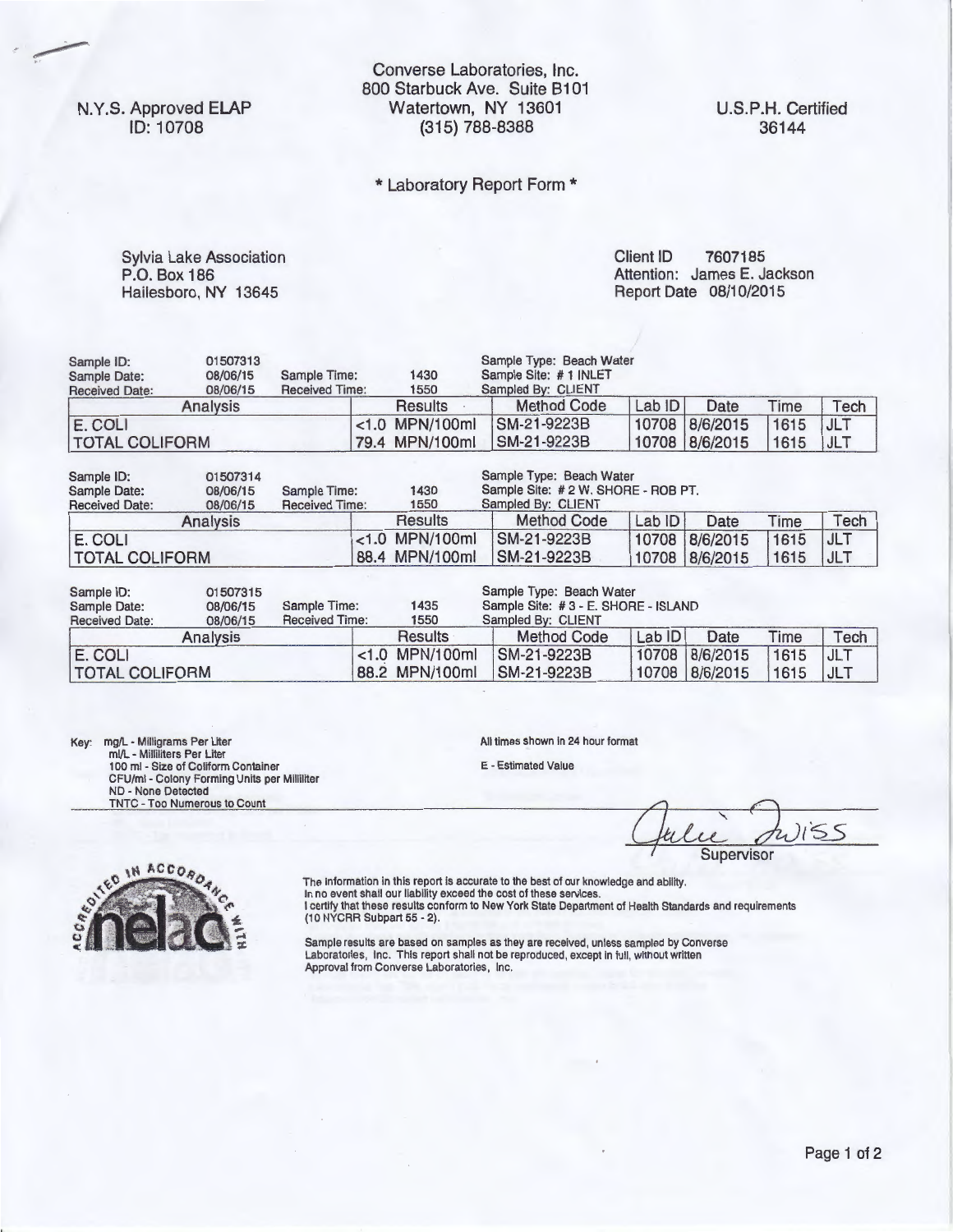N.Y.S. Approved ELAP ID: 10708

Converse Laboratories, Inc. 800 Starbuck Ave. Suite 8101 Watertown, NY 13601 (315) 788-8388

\* Laboratory Report Form \*

Sylvia Lake Association P.O. Box 186 Hailesboro, NY 13645

Client ID 7607185 Attention: James E. Jackson Report Date 08/10/2015

| Sample ID:<br>Sample Date:<br><b>Received Date:</b> | 01507313<br>08/06/15<br>08/06/15 | Sample Time:<br><b>Received Time:</b> | 1430<br>1550 |                   | Sample Type: Beach Water<br>Sample Site: #1 INLET<br>Sampled By: CLIENT |             |      |                |      |            |  |
|-----------------------------------------------------|----------------------------------|---------------------------------------|--------------|-------------------|-------------------------------------------------------------------------|-------------|------|----------------|------|------------|--|
| <b>Analysis</b>                                     |                                  | Results                               |              |                   | <b>Method Code</b>                                                      | Lab ID      | Date | Time           | Tech |            |  |
| E. COLI                                             |                                  |                                       |              | $< 1.0$ MPN/100ml |                                                                         | SM-21-9223B |      | 10708 8/6/2015 | 1615 | <b>JLT</b> |  |
| <b>TOTAL COLIFORM</b>                               |                                  |                                       |              | 79.4 MPN/100ml    |                                                                         | SM-21-9223B |      | 10708 8/6/2015 | 1615 | <b>JLT</b> |  |

| Sample ID:<br>Sample Date:<br><b>Received Date:</b> | 01507314<br>08/06/15<br>08/06/15 | Sample Time:<br><b>Received Time:</b> | Sample Type: Beach Water<br>1430<br>1550 |                            |        |                                  |              |                          |
|-----------------------------------------------------|----------------------------------|---------------------------------------|------------------------------------------|----------------------------|--------|----------------------------------|--------------|--------------------------|
| Analysis                                            |                                  |                                       | Results                                  | Method Code                | Lab ID | Date                             | Time         | Tech                     |
| E. COLI<br><b>TOTAL COLIFORM</b>                    |                                  |                                       | $< 1.0$ MPN/100ml<br>88.4 MPN/100ml      | SM-21-9223B<br>SM-21-9223B |        | 10708 8/6/2015<br>10708 8/6/2015 | 1615<br>1615 | <b>JLT</b><br><b>JLT</b> |

| 01507315<br>Sample ID:<br>Sample Time:<br>08/06/15<br>Sample Date: |          |                       |                            | 1435              | Sample Type: Beach Water<br>Sample Site: #3 - E. SHORE - ISLAND |             |        |          |      |            |  |
|--------------------------------------------------------------------|----------|-----------------------|----------------------------|-------------------|-----------------------------------------------------------------|-------------|--------|----------|------|------------|--|
| <b>Received Date:</b>                                              | 08/06/15 | <b>Received Time:</b> | Sampled By: CLIENT<br>1550 |                   |                                                                 |             |        |          |      |            |  |
|                                                                    | Analvsis |                       |                            | Results           |                                                                 | Method Code | Lab ID | Date     | Time | Tech       |  |
| E. COLI                                                            |          |                       |                            | $< 1.0$ MPN/100ml |                                                                 | SM-21-9223B | 10708  | 8/6/2015 | 1615 | <b>JLT</b> |  |
| <b>TOTAL COLIFORM</b>                                              |          |                       |                            | 88.2 MPN/100ml    |                                                                 | SM-21-9223B | 10708  | 8/6/2015 | 1615 | , JLT      |  |

Key: mg/L - Milligrams Per Liter<br>
ml/L - Milliliters Per Liter<br>
100 ml - Size of Coliform Container<br>
CFU/ml - Colony Forming Units per Milliliter<br>
ND - None Detected TNTC - Too Numerous to Count

All times shown in 24 hour format

E - Estimated Value

Quelie Juiss **Supervisor** 



The information in this report is accurate to the best of our knowledge and ability.<br>In no event shall our liability exceed the cost of these services.<br>I certify that these results conform to New York State Department of H

Sample results are based on samples as they are received, unless sampled by Converse Laboratories, Inc. This report shall not be reproduced, except in full, without written Approval from Converse Laboratories, Inc.

U.S.P.H. Certified 36144